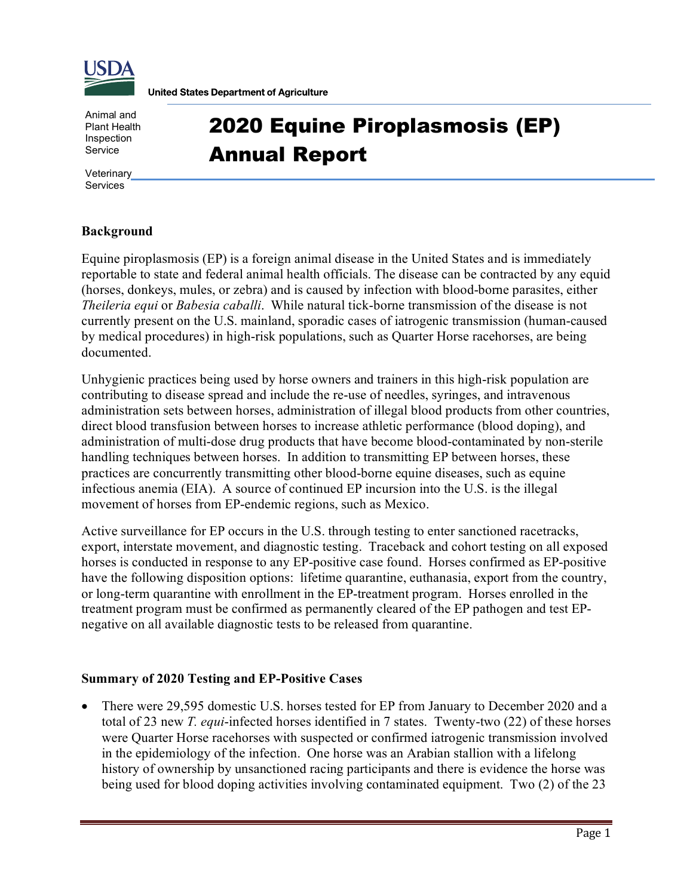

**United States Department of Agriculture** 

Animal and Plant Health Inspection Service

2020 Equine Piroplasmosis (EP) Annual Report

**Veterinary** Services

## **Background**

Equine piroplasmosis (EP) is a foreign animal disease in the United States and is immediately reportable to state and federal animal health officials. The disease can be contracted by any equid (horses, donkeys, mules, or zebra) and is caused by infection with blood-borne parasites, either *Theileria equi* or *Babesia caballi*. While natural tick-borne transmission of the disease is not currently present on the U.S. mainland, sporadic cases of iatrogenic transmission (human-caused by medical procedures) in high-risk populations, such as Quarter Horse racehorses, are being documented.

Unhygienic practices being used by horse owners and trainers in this high-risk population are contributing to disease spread and include the re-use of needles, syringes, and intravenous administration sets between horses, administration of illegal blood products from other countries, direct blood transfusion between horses to increase athletic performance (blood doping), and administration of multi-dose drug products that have become blood-contaminated by non-sterile handling techniques between horses. In addition to transmitting EP between horses, these practices are concurrently transmitting other blood-borne equine diseases, such as equine infectious anemia (EIA). A source of continued EP incursion into the U.S. is the illegal movement of horses from EP-endemic regions, such as Mexico.

Active surveillance for EP occurs in the U.S. through testing to enter sanctioned racetracks, export, interstate movement, and diagnostic testing. Traceback and cohort testing on all exposed horses is conducted in response to any EP-positive case found. Horses confirmed as EP-positive have the following disposition options: lifetime quarantine, euthanasia, export from the country, or long-term quarantine with enrollment in the EP-treatment program. Horses enrolled in the treatment program must be confirmed as permanently cleared of the EP pathogen and test EPnegative on all available diagnostic tests to be released from quarantine.

## **Summary of 2020 Testing and EP-Positive Cases**

• There were 29,595 domestic U.S. horses tested for EP from January to December 2020 and a total of 23 new *T. equi*-infected horses identified in 7 states. Twenty-two (22) of these horses were Quarter Horse racehorses with suspected or confirmed iatrogenic transmission involved in the epidemiology of the infection. One horse was an Arabian stallion with a lifelong history of ownership by unsanctioned racing participants and there is evidence the horse was being used for blood doping activities involving contaminated equipment. Two (2) of the 23